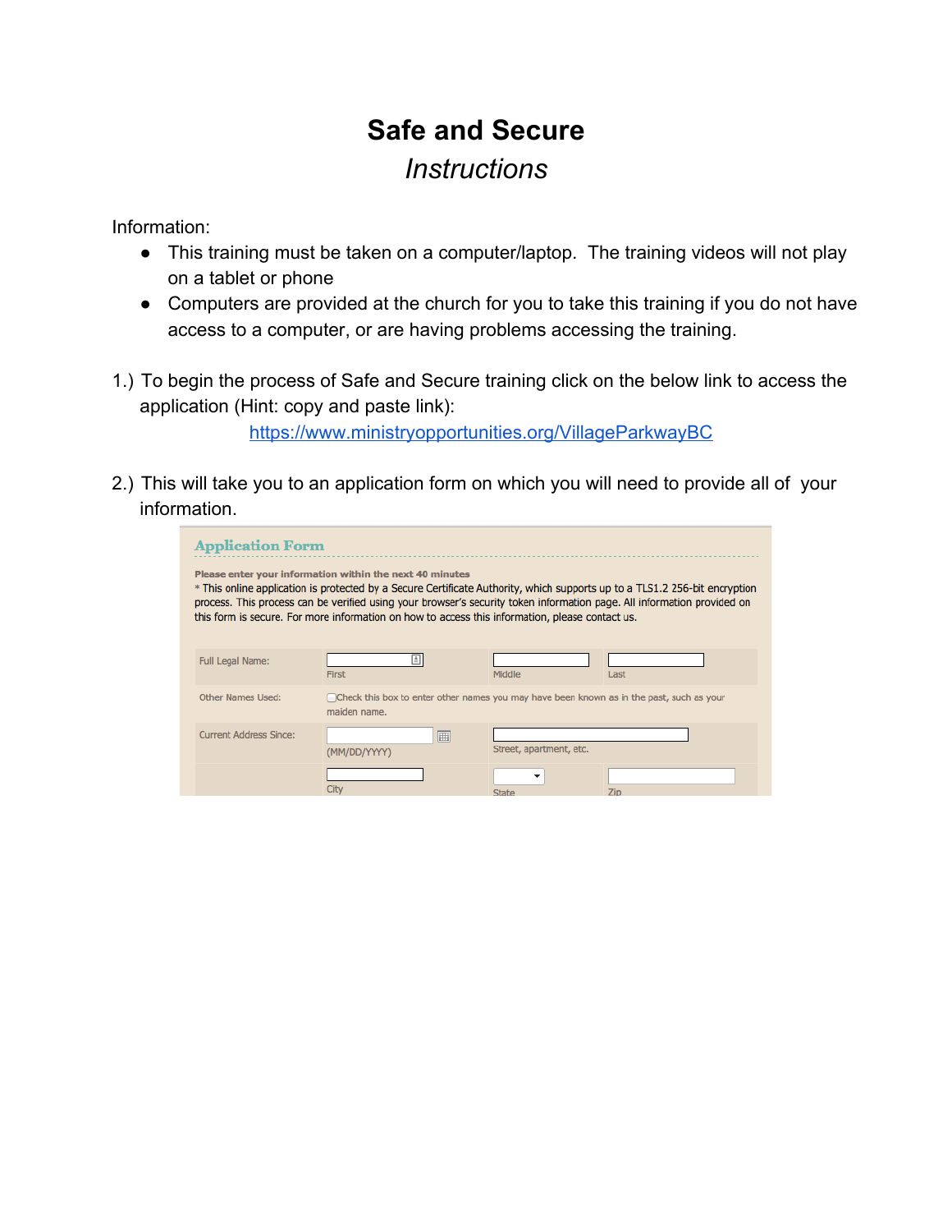## **Safe and Secure** *Instructions*

Information:

- This training must be taken on a computer/laptop. The training videos will not play on a tablet or phone
- Computers are provided at the church for you to take this training if you do not have access to a computer, or are having problems accessing the training.
- 1.) To begin the process of Safe and Secure training click on the below link to access the application (Hint: copy and paste link):

[https://www.ministryopportunities.org/VillageParkwayBC](https://www.google.com/url?q=https%3A%2F%2Fwww.ministryopportunities.org%2FVillageParkwayBC&sa=D&sntz=1&usg=AFQjCNHIopctFfIjILCYCPnjI0EEAEx_BQ)

2.) This will take you to an application form on which you will need to provide all of your information.

| <b>Application Form</b>                                                                                                                                                                                                                                                                                                                                                                                              |                                                                                                          |                         |      |  |  |
|----------------------------------------------------------------------------------------------------------------------------------------------------------------------------------------------------------------------------------------------------------------------------------------------------------------------------------------------------------------------------------------------------------------------|----------------------------------------------------------------------------------------------------------|-------------------------|------|--|--|
| Please enter your information within the next 40 minutes<br>* This online application is protected by a Secure Certificate Authority, which supports up to a TLS1.2 256-bit encryption<br>process. This process can be verified using your browser's security token information page. All information provided on<br>this form is secure. For more information on how to access this information, please contact us. |                                                                                                          |                         |      |  |  |
| <b>Full Legal Name:</b>                                                                                                                                                                                                                                                                                                                                                                                              | <b>First</b>                                                                                             | Middle                  | Last |  |  |
| Other Names Used:                                                                                                                                                                                                                                                                                                                                                                                                    | Check this box to enter other names you may have been known as in the past, such as your<br>maiden name. |                         |      |  |  |
| Current Address Since:                                                                                                                                                                                                                                                                                                                                                                                               | 圃<br>(MM/DD/YYYY)                                                                                        | Street, apartment, etc. |      |  |  |
|                                                                                                                                                                                                                                                                                                                                                                                                                      | City                                                                                                     | ۰<br>State              | Zin  |  |  |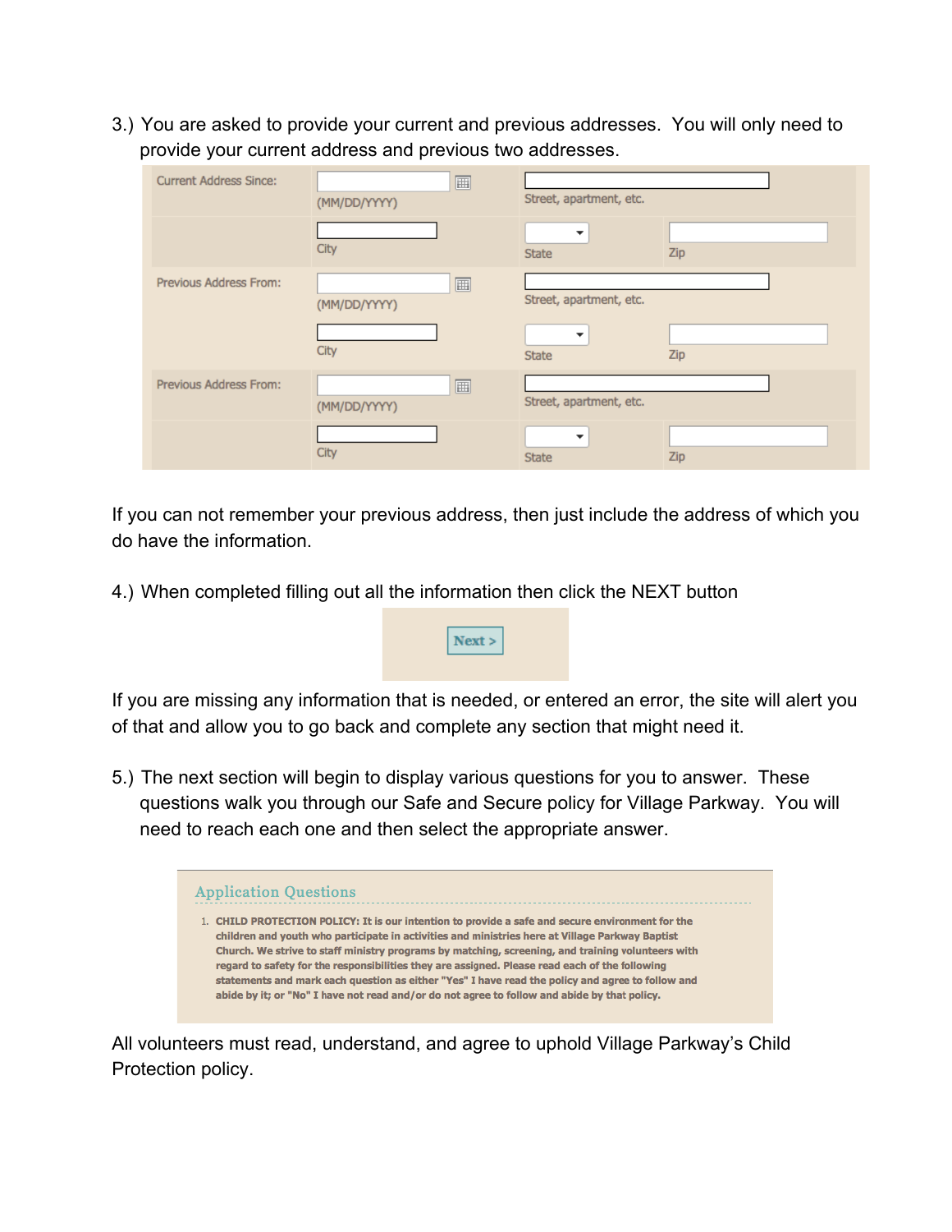3.) You are asked to provide your current and previous addresses. You will only need to provide your current address and previous two addresses.

| <b>Current Address Since:</b> | 画<br>(MM/DD/YYYY) | Street, apartment, etc. |     |
|-------------------------------|-------------------|-------------------------|-----|
|                               | City              | ▼<br><b>State</b>       | Zip |
| <b>Previous Address From:</b> | 画<br>(MM/DD/YYYY) | Street, apartment, etc. |     |
|                               | City              | ▼<br><b>State</b>       | Zip |
| <b>Previous Address From:</b> | 圃<br>(MM/DD/YYYY) | Street, apartment, etc. |     |
|                               | City              | ▼<br><b>State</b>       | Zip |

If you can not remember your previous address, then just include the address of which you do have the information.

4.) When completed filling out all the information then click the NEXT button



 $Next >$ 

5.) The next section will begin to display various questions for you to answer. These questions walk you through our Safe and Secure policy for Village Parkway. You will need to reach each one and then select the appropriate answer.



All volunteers must read, understand, and agree to uphold Village Parkway's Child Protection policy.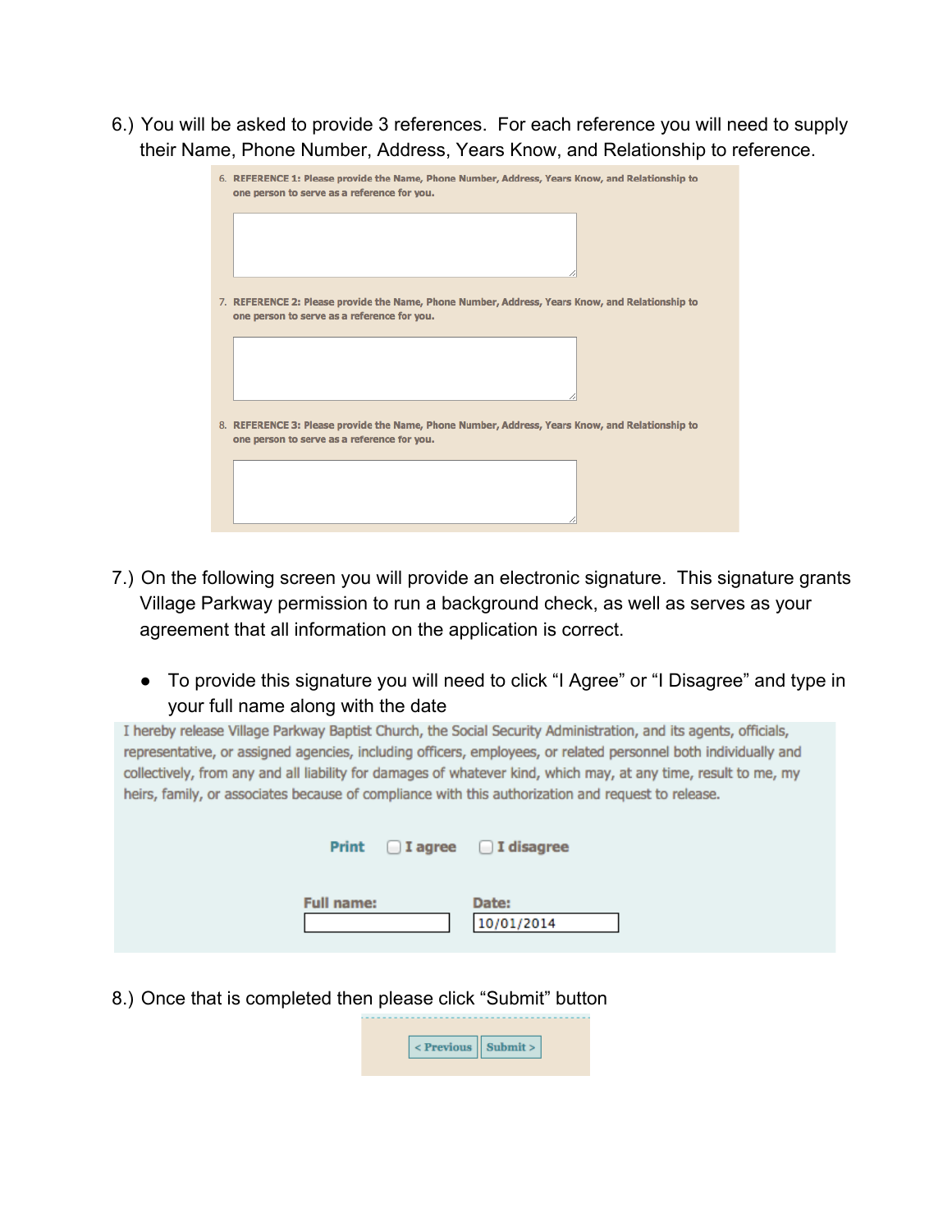6.) You will be asked to provide 3 references. For each reference you will need to supply their Name, Phone Number, Address, Years Know, and Relationship to reference.

| 6. REFERENCE 1: Please provide the Name, Phone Number, Address, Years Know, and Relationship to<br>one person to serve as a reference for you. |  |  |
|------------------------------------------------------------------------------------------------------------------------------------------------|--|--|
|                                                                                                                                                |  |  |
| 7. REFERENCE 2: Please provide the Name, Phone Number, Address, Years Know, and Relationship to<br>one person to serve as a reference for you. |  |  |
|                                                                                                                                                |  |  |
| 8. REFERENCE 3: Please provide the Name, Phone Number, Address, Years Know, and Relationship to<br>one person to serve as a reference for you. |  |  |
|                                                                                                                                                |  |  |

- 7.) On the following screen you will provide an electronic signature. This signature grants Village Parkway permission to run a background check, as well as serves as your agreement that all information on the application is correct.
	- To provide this signature you will need to click "I Agree" or "I Disagree" and type in your full name along with the date

I hereby release Village Parkway Baptist Church, the Social Security Administration, and its agents, officials, representative, or assigned agencies, including officers, employees, or related personnel both individually and collectively, from any and all liability for damages of whatever kind, which may, at any time, result to me, my heirs, family, or associates because of compliance with this authorization and request to release.

|                   | Print J agree J I disagree |
|-------------------|----------------------------|
| <b>Full name:</b> | Date:<br>10/01/2014        |

8.) Once that is completed then please click "Submit" button

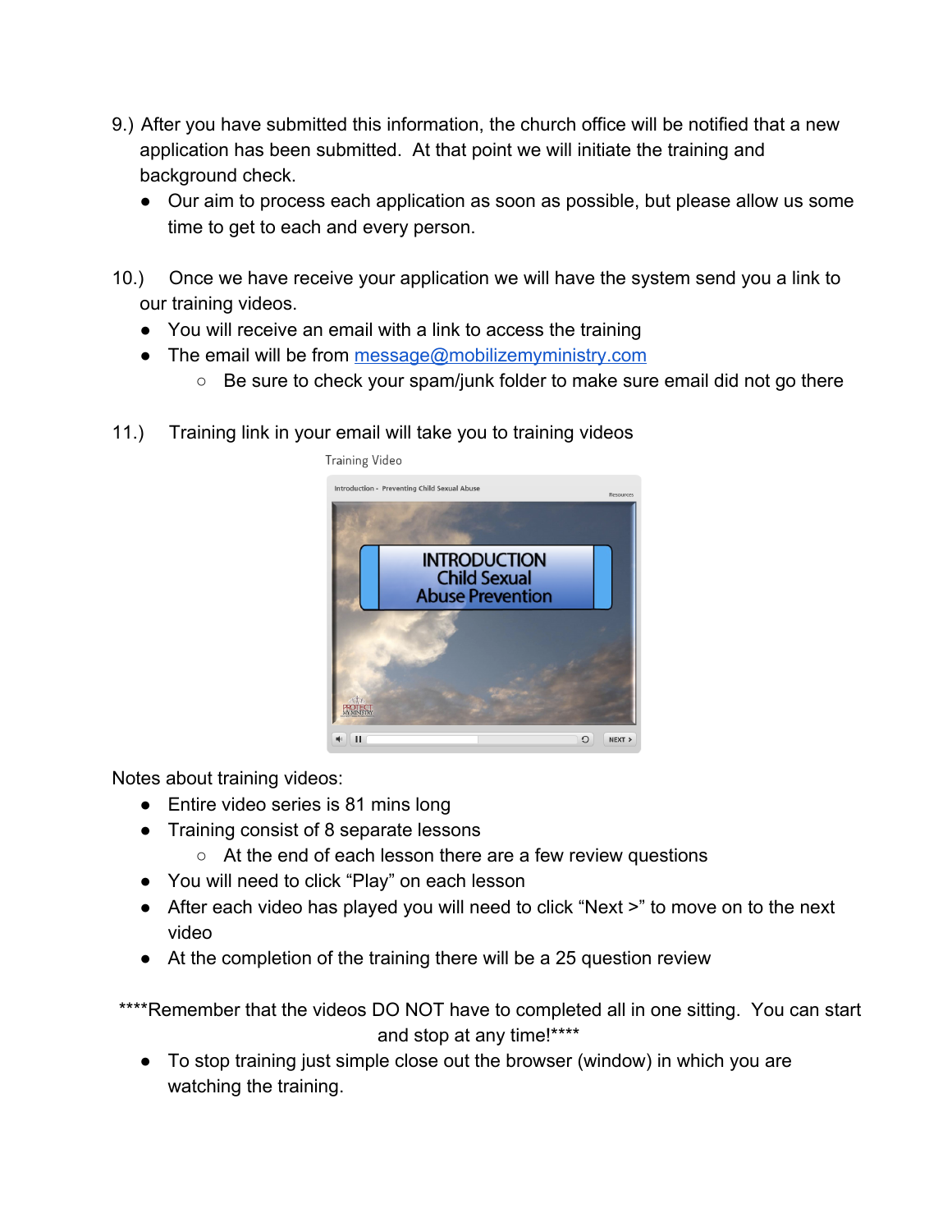- 9.) After you have submitted this information, the church office will be notified that a new application has been submitted. At that point we will initiate the training and background check.
	- Our aim to process each application as soon as possible, but please allow us some time to get to each and every person.
- 10.) Once we have receive your application we will have the system send you a link to our training videos.
	- You will receive an email with a link to access the training
	- The email will be from [message@mobilizemyministry.com](mailto:message@mobilizemyministry.com)
		- Be sure to check your spam/junk folder to make sure email did not go there
- 11.) Training link in your email will take you to training videos



Notes about training videos:

- Entire video series is 81 mins long
- Training consist of 8 separate lessons
	- At the end of each lesson there are a few review questions
- You will need to click "Play" on each lesson
- After each video has played you will need to click "Next >" to move on to the next video
- At the completion of the training there will be a 25 question review

\*\*\*\*Remember that the videos DO NOT have to completed all in one sitting. You can start and stop at any time!\*\*\*\*

• To stop training just simple close out the browser (window) in which you are watching the training.